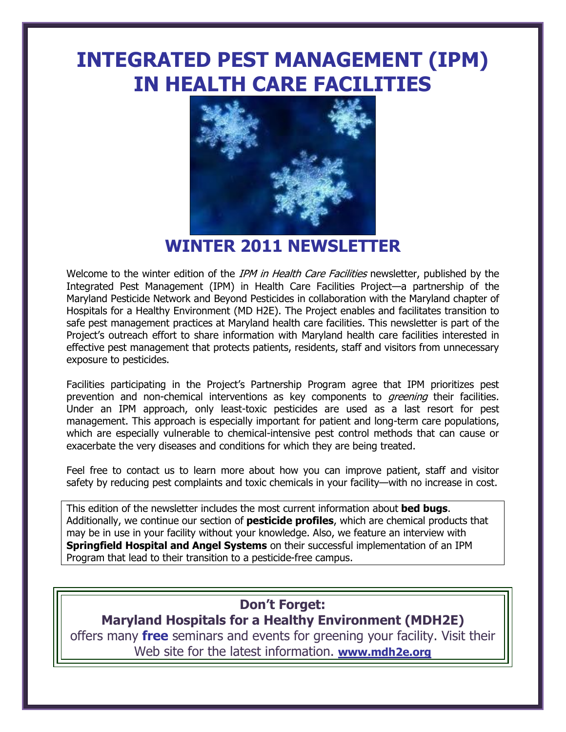# **INTEGRATED PEST MANAGEMENT (IPM) IN HEALTH CARE FACILITIES**



**WINTER 2011 NEWSLETTER**

Welcome to the winter edition of the IPM in Health Care Facilities newsletter, published by the Integrated Pest Management (IPM) in Health Care Facilities Project—a partnership of the Maryland Pesticide Network and Beyond Pesticides in collaboration with the Maryland chapter of Hospitals for a Healthy Environment (MD H2E). The Project enables and facilitates transition to safe pest management practices at Maryland health care facilities. This newsletter is part of the Project's outreach effort to share information with Maryland health care facilities interested in effective pest management that protects patients, residents, staff and visitors from unnecessary exposure to pesticides.

Facilities participating in the Project"s Partnership Program agree that IPM prioritizes pest prevention and non-chemical interventions as key components to *greening* their facilities. Under an IPM approach, only least-toxic pesticides are used as a last resort for pest management. This approach is especially important for patient and long-term care populations, which are especially vulnerable to chemical-intensive pest control methods that can cause or exacerbate the very diseases and conditions for which they are being treated.

Feel free to contact us to learn more about how you can improve patient, staff and visitor safety by reducing pest complaints and toxic chemicals in your facility—with no increase in cost.

This edition of the newsletter includes the most current information about **bed bugs**. Additionally, we continue our section of **pesticide profiles**, which are chemical products that may be in use in your facility without your knowledge. Also, we feature an interview with **Springfield Hospital and Angel Systems** on their successful implementation of an IPM Program that lead to their transition to a pesticide-free campus.

# **Don't Forget:**

**Maryland Hospitals for a Healthy Environment (MDH2E)** offers many **free** seminars and events for greening your facility. Visit their Web site for the latest information. **[www.mdh2e.org](http://www.mdh2e.org/)**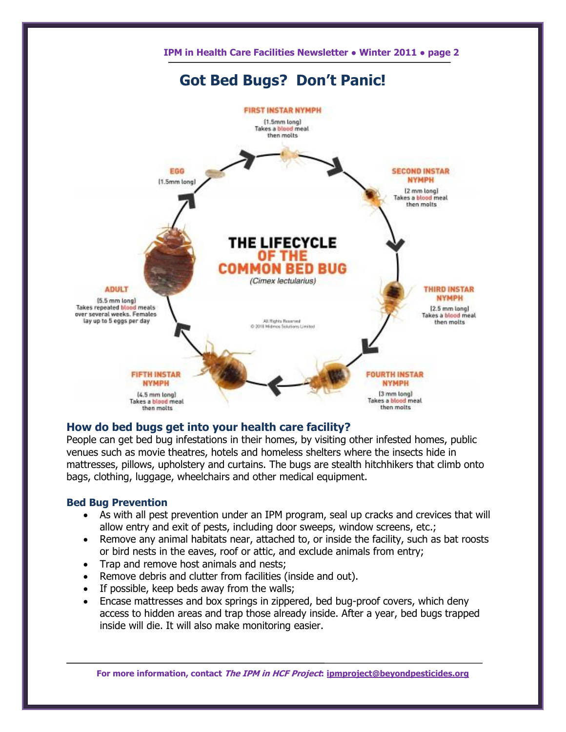

# **How do bed bugs get into your health care facility?**

People can get bed bug infestations in their homes, by visiting other infested homes, public venues such as movie theatres, hotels and homeless shelters where the insects hide in mattresses, pillows, upholstery and curtains. The bugs are stealth hitchhikers that climb onto bags, clothing, luggage, wheelchairs and other medical equipment.

# **Bed Bug Prevention**

- As with all pest prevention under an IPM program, seal up cracks and crevices that will allow entry and exit of pests, including door sweeps, window screens, etc.;
- Remove any animal habitats near, attached to, or inside the facility, such as bat roosts or bird nests in the eaves, roof or attic, and exclude animals from entry;
- Trap and remove host animals and nests;
- Remove debris and clutter from facilities (inside and out).
- If possible, keep beds away from the walls;
- Encase mattresses and box springs in zippered, bed bug-proof covers, which deny access to hidden areas and trap those already inside. After a year, bed bugs trapped inside will die. It will also make monitoring easier.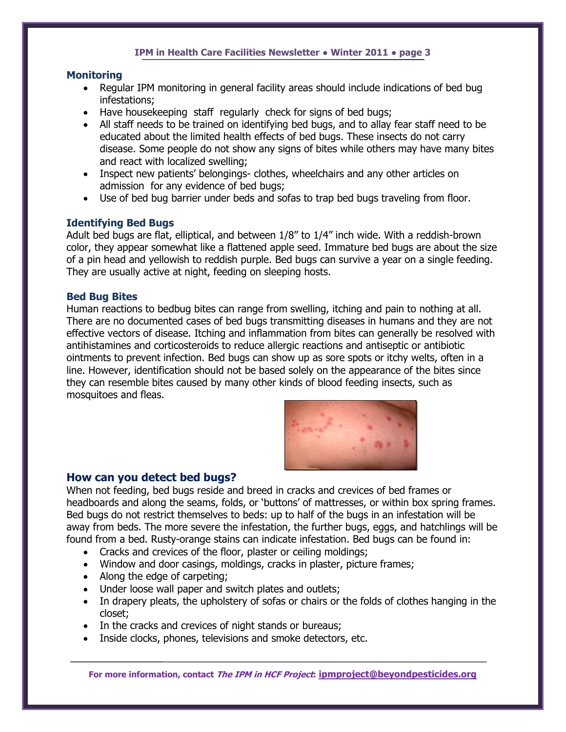# **Monitoring**

- Regular IPM monitoring in general facility areas should include indications of bed bug infestations;
- Have housekeeping staff regularly check for signs of bed bugs;
- All staff needs to be trained on identifying bed bugs, and to allay fear staff need to be educated about the limited health effects of bed bugs. These insects do not carry disease. Some people do not show any signs of bites while others may have many bites and react with localized swelling;
- Inspect new patients' belongings- clothes, wheelchairs and any other articles on admission for any evidence of bed bugs;
- Use of bed bug barrier under beds and sofas to trap bed bugs traveling from floor.

# **Identifying Bed Bugs**

Adult bed bugs are flat, elliptical, and between 1/8" to 1/4" inch wide. With a reddish-brown color, they appear somewhat like a flattened apple seed. Immature bed bugs are about the size of a pin head and yellowish to reddish purple. Bed bugs can survive a year on a single feeding. They are usually active at night, feeding on sleeping hosts.

## **Bed Bug Bites**

Human reactions to bedbug bites can range from swelling, itching and pain to nothing at all. There are no documented cases of bed bugs transmitting diseases in humans and they are not effective vectors of disease. Itching and inflammation from bites can generally be resolved with antihistamines and corticosteroids to reduce allergic reactions and antiseptic or antibiotic ointments to prevent infection. Bed bugs can show up as sore spots or itchy welts, often in a line. However, identification should not be based solely on the appearance of the bites since they can resemble bites caused by many other kinds of blood feeding insects, such as mosquitoes and fleas.



# **How can you detect bed bugs?**

When not feeding, bed bugs reside and breed in cracks and crevices of bed frames or headboards and along the seams, folds, or "buttons" of mattresses, or within box spring frames. Bed bugs do not restrict themselves to beds: up to half of the bugs in an infestation will be away from beds. The more severe the infestation, the further bugs, eggs, and hatchlings will be found from a bed. Rusty-orange stains can indicate infestation. Bed bugs can be found in:

- Cracks and crevices of the floor, plaster or ceiling moldings;
- Window and door casings, moldings, cracks in plaster, picture frames;
- Along the edge of carpeting;
- Under loose wall paper and switch plates and outlets;
- In drapery pleats, the upholstery of sofas or chairs or the folds of clothes hanging in the closet;
- In the cracks and crevices of night stands or bureaus;
- Inside clocks, phones, televisions and smoke detectors, etc.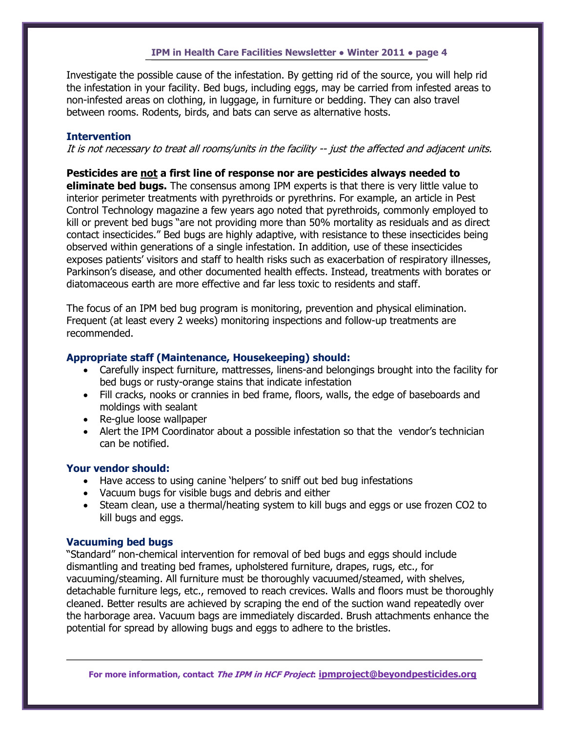Investigate the possible cause of the infestation. By getting rid of the source, you will help rid the infestation in your facility. Bed bugs, including eggs, may be carried from infested areas to non-infested areas on clothing, in luggage, in furniture or bedding. They can also travel between rooms. Rodents, birds, and bats can serve as alternative hosts.

# **Intervention**

It is not necessary to treat all rooms/units in the facility -- just the affected and adjacent units.

# **Pesticides are not a first line of response nor are pesticides always needed to eliminate bed bugs.** The consensus among IPM experts is that there is very little value to interior perimeter treatments with pyrethroids or pyrethrins. For example, an article in Pest Control Technology magazine a few years ago noted that pyrethroids, commonly employed to kill or prevent bed bugs "are not providing more than 50% mortality as residuals and as direct contact insecticides." Bed bugs are highly adaptive, with resistance to these insecticides being observed within generations of a single infestation. In addition, use of these insecticides exposes patients' visitors and staff to health risks such as exacerbation of respiratory illnesses, Parkinson"s disease, and other documented health effects. Instead, treatments with borates or

The focus of an IPM bed bug program is monitoring, prevention and physical elimination. Frequent (at least every 2 weeks) monitoring inspections and follow-up treatments are recommended.

diatomaceous earth are more effective and far less toxic to residents and staff.

# **Appropriate staff (Maintenance, Housekeeping) should:**

- Carefully inspect furniture, mattresses, linens-and belongings brought into the facility for bed bugs or rusty-orange stains that indicate infestation
- Fill cracks, nooks or crannies in bed frame, floors, walls, the edge of baseboards and moldings with sealant
- Re-glue loose wallpaper
- Alert the IPM Coordinator about a possible infestation so that the vendor's technician can be notified.

# **Your vendor should:**

- Have access to using canine 'helpers' to sniff out bed bug infestations
- Vacuum bugs for visible bugs and debris and either
- Steam clean, use a thermal/heating system to kill bugs and eggs or use frozen CO2 to kill bugs and eggs.

## **Vacuuming bed bugs**

"Standard" non-chemical intervention for removal of bed bugs and eggs should include dismantling and treating bed frames, upholstered furniture, drapes, rugs, etc., for vacuuming/steaming. All furniture must be thoroughly vacuumed/steamed, with shelves, detachable furniture legs, etc., removed to reach crevices. Walls and floors must be thoroughly cleaned. Better results are achieved by scraping the end of the suction wand repeatedly over the harborage area. Vacuum bags are immediately discarded. Brush attachments enhance the potential for spread by allowing bugs and eggs to adhere to the bristles.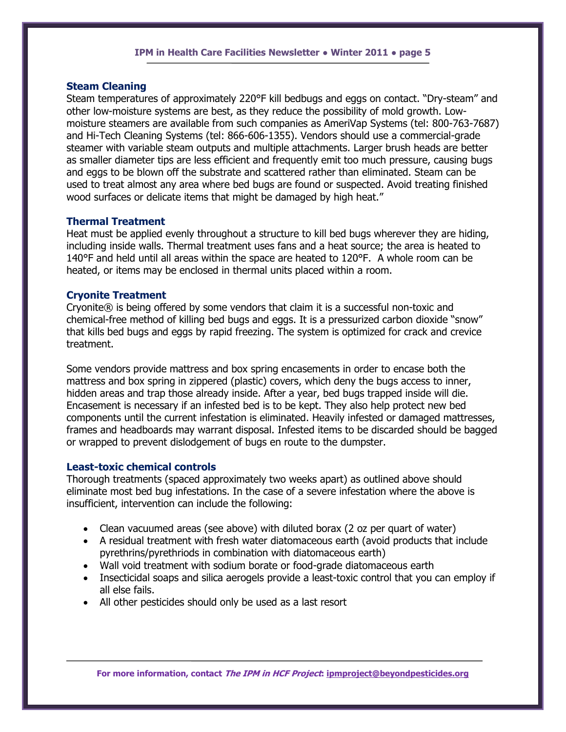# **Steam Cleaning**

Steam temperatures of approximately 220°F kill bedbugs and eggs on contact. "Dry-steam" and other low-moisture systems are best, as they reduce the possibility of mold growth. Lowmoisture steamers are available from such companies as AmeriVap Systems (tel: 800-763-7687) and Hi-Tech Cleaning Systems (tel: 866-606-1355). Vendors should use a commercial-grade steamer with variable steam outputs and multiple attachments. Larger brush heads are better as smaller diameter tips are less efficient and frequently emit too much pressure, causing bugs and eggs to be blown off the substrate and scattered rather than eliminated. Steam can be used to treat almost any area where bed bugs are found or suspected. Avoid treating finished wood surfaces or delicate items that might be damaged by high heat."

# **Thermal Treatment**

Heat must be applied evenly throughout a structure to kill bed bugs wherever they are hiding, including inside walls. Thermal treatment uses fans and a heat source; the area is heated to 140°F and held until all areas within the space are heated to 120°F. A whole room can be heated, or items may be enclosed in thermal units placed within a room.

# **Cryonite Treatment**

Cryonite® is being offered by some vendors that claim it is a successful non-toxic and chemical-free method of killing bed bugs and eggs. It is a pressurized carbon dioxide "snow" that kills bed bugs and eggs by rapid freezing. The system is optimized for crack and crevice treatment.

Some vendors provide mattress and box spring encasements in order to encase both the mattress and box spring in zippered (plastic) covers, which deny the bugs access to inner, hidden areas and trap those already inside. After a year, bed bugs trapped inside will die. Encasement is necessary if an infested bed is to be kept. They also help protect new bed components until the current infestation is eliminated. Heavily infested or damaged mattresses, frames and headboards may warrant disposal. Infested items to be discarded should be bagged or wrapped to prevent dislodgement of bugs en route to the dumpster.

## **Least-toxic chemical controls**

Thorough treatments (spaced approximately two weeks apart) as outlined above should eliminate most bed bug infestations. In the case of a severe infestation where the above is insufficient, intervention can include the following:

- Clean vacuumed areas (see above) with diluted borax (2 oz per quart of water)
- A residual treatment with fresh water diatomaceous earth (avoid products that include pyrethrins/pyrethriods in combination with diatomaceous earth)
- Wall void treatment with sodium borate or food-grade diatomaceous earth
- Insecticidal soaps and silica aerogels provide a least-toxic control that you can employ if all else fails.
- All other pesticides should only be used as a last resort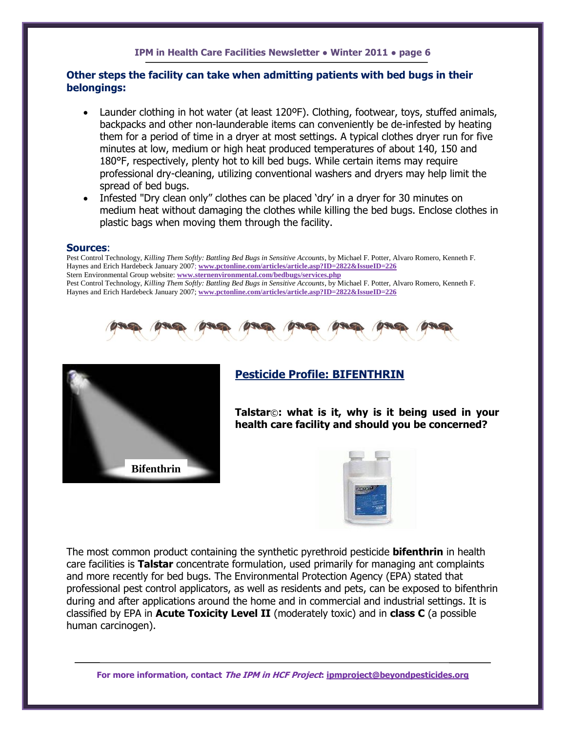# **Other steps the facility can take when admitting patients with bed bugs in their belongings:**

- Launder clothing in hot water (at least 120°F). Clothing, footwear, toys, stuffed animals, backpacks and other non-launderable items can conveniently be de-infested by heating them for a period of time in a dryer at most settings. A typical clothes dryer run for five minutes at low, medium or high heat produced temperatures of about 140, 150 and 180°F, respectively, plenty hot to kill bed bugs. While certain items may require professional dry-cleaning, utilizing conventional washers and dryers may help limit the spread of bed bugs.
- Infested "Dry clean only" clothes can be placed 'dry' in a dryer for 30 minutes on medium heat without damaging the clothes while killing the bed bugs. Enclose clothes in plastic bags when moving them through the facility.

#### **Sources**:

Pest Control Technology, *Killing Them Softly: Battling Bed Bugs in Sensitive Accounts*, by Michael F. Potter, Alvaro Romero, Kenneth F. [Haynes and Erich Hardebeck](mailto:) January 2007; **[www.pctonline.com/articles/article.asp?ID=2822&IssueID=226](http://www.pctonline.com/articles/article.asp?ID=2822&IssueID=226)** Stern Environmental Group website: **[www.sternenvironmental.com/bedbugs/services.php](http://www.sternenvironmental.com/bedbugs/services.php)** Pest Control Technology, *Killing Them Softly: Battling Bed Bugs in Sensitive Accounts*, by Michael F. Potter, Alvaro Romero, Kenneth F. [Haynes and Erich Hardebeck](mailto:) January 2007; **[www.pctonline.com/articles/article.asp?ID=2822&IssueID=226](http://www.pctonline.com/articles/article.asp?ID=2822&IssueID=226)**





# **Pesticide Profile: BIFENTHRIN**

**Talstar**©**: what is it, why is it being used in your health care facility and should you be concerned?**



The most common product containing the synthetic pyrethroid pesticide **bifenthrin** in health care facilities is **Talstar** concentrate formulation, used primarily for managing ant complaints and more recently for bed bugs. The Environmental Protection Agency (EPA) stated that professional pest control applicators, as well as residents and pets, can be exposed to bifenthrin during and after applications around the home and in commercial and industrial settings. It is classified by EPA in **Acute Toxicity Level II** (moderately toxic) and in **class C** (a possible human carcinogen).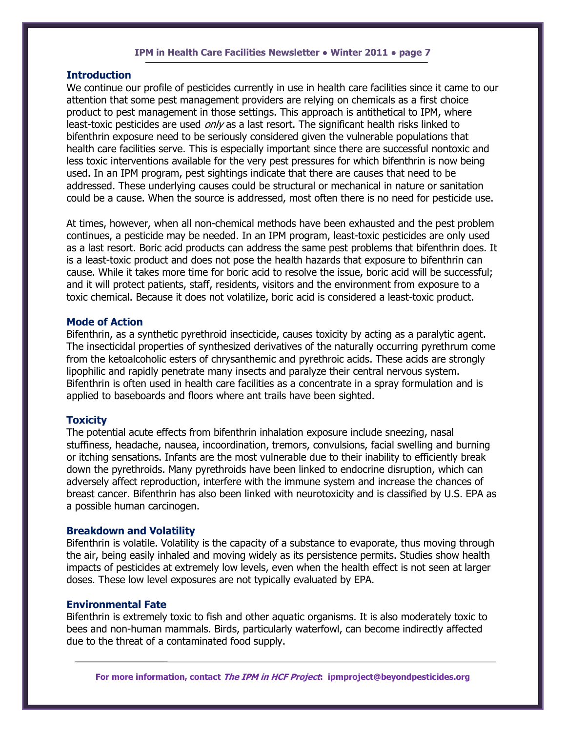#### **Introduction**

We continue our profile of pesticides currently in use in health care facilities since it came to our attention that some pest management providers are relying on chemicals as a first choice product to pest management in those settings. This approach is antithetical to IPM, where least-toxic pesticides are used  $\omega n/r$  as a last resort. The significant health risks linked to bifenthrin exposure need to be seriously considered given the vulnerable populations that health care facilities serve. This is especially important since there are successful nontoxic and less toxic interventions available for the very pest pressures for which bifenthrin is now being used. In an IPM program, pest sightings indicate that there are causes that need to be addressed. These underlying causes could be structural or mechanical in nature or sanitation could be a cause. When the source is addressed, most often there is no need for pesticide use.

At times, however, when all non-chemical methods have been exhausted and the pest problem continues, a pesticide may be needed. In an IPM program, least-toxic pesticides are only used as a last resort. Boric acid products can address the same pest problems that bifenthrin does. It is a least-toxic product and does not pose the health hazards that exposure to bifenthrin can cause. While it takes more time for boric acid to resolve the issue, boric acid will be successful; and it will protect patients, staff, residents, visitors and the environment from exposure to a toxic chemical. Because it does not volatilize, boric acid is considered a least-toxic product.

# **Mode of Action**

Bifenthrin, as a synthetic pyrethroid insecticide, causes toxicity by acting as a paralytic agent. The insecticidal properties of synthesized derivatives of the naturally occurring pyrethrum come from the ketoalcoholic esters of chrysanthemic and pyrethroic acids. These acids are strongly lipophilic and rapidly penetrate many insects and paralyze their central nervous system. Bifenthrin is often used in health care facilities as a concentrate in a spray formulation and is applied to baseboards and floors where ant trails have been sighted.

#### **Toxicity**

The potential acute effects from bifenthrin inhalation exposure include sneezing, nasal stuffiness, headache, nausea, incoordination, tremors, convulsions, facial swelling and burning or itching sensations. Infants are the most vulnerable due to their inability to efficiently break down the pyrethroids. Many pyrethroids have been linked to endocrine disruption, which can adversely affect reproduction, interfere with the immune system and increase the chances of breast cancer. Bifenthrin has also been linked with neurotoxicity and is classified by U.S. EPA as a possible human carcinogen.

#### **Breakdown and Volatility**

Bifenthrin is volatile. Volatility is the capacity of a substance to evaporate, thus moving through the air, being easily inhaled and moving widely as its persistence permits. Studies show health impacts of pesticides at extremely low levels, even when the health effect is not seen at larger doses. These low level exposures are not typically evaluated by EPA.

#### **Environmental Fate**

Bifenthrin is extremely toxic to fish and other aquatic organisms. It is also moderately toxic to bees and non-human mammals. Birds, particularly waterfowl, can become indirectly affected due to the threat of a contaminated food supply.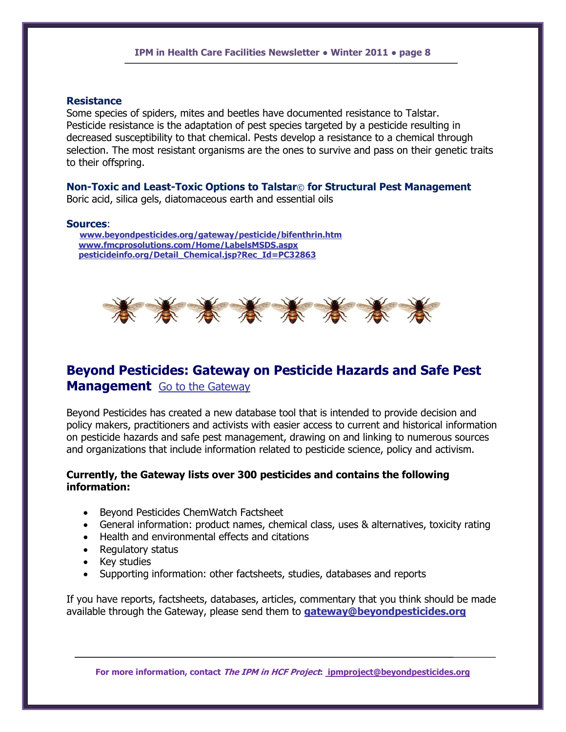#### **Resistance**

Some species of spiders, mites and beetles have documented resistance to Talstar. Pesticide resistance is the adaptation of pest species targeted by a pesticide resulting in decreased susceptibility to that chemical. Pests develop a resistance to a chemical through selection. The most resistant organisms are the ones to survive and pass on their genetic traits to their offspring.

# **Non-Toxic and Least-Toxic Options to Talstar**© **for Structural Pest Management**

Boric acid, silica gels, diatomaceous earth and essential oils

#### **Sources**:

 **[www.beyondpesticides.org/gateway/pesticide/bifenthrin.htm](http://www.beyondpesticides.org/gateway/pesticide/bifenthrin.htm) [www.fmcprosolutions.com/Home/LabelsMSDS.aspx](http://www.fmcprosolutions.com/Home/LabelsMSDS.aspx) [pesticideinfo.org/Detail\\_Chemical.jsp?Rec\\_Id=PC32863](http://pesticideinfo.org/Detail_Chemical.jsp?Rec_Id=PC32863)**



# **Beyond Pesticides: Gateway on Pesticide Hazards and Safe Pest Management** [Go to the Gateway](http://www.beyondpesticides.org/gateway/index.htm)

Beyond Pesticides has created a new database tool that is intended to provide decision and policy makers, practitioners and activists with easier access to current and historical information on pesticide hazards and safe pest management, drawing on and linking to numerous sources and organizations that include information related to pesticide science, policy and activism.

# **Currently, the Gateway lists over 300 pesticides and contains the following information:**

- Beyond Pesticides ChemWatch Factsheet
- General information: product names, chemical class, uses & alternatives, toxicity rating
- Health and environmental effects and citations
- Regulatory status
- Key studies
- Supporting information: other factsheets, studies, databases and reports

If you have reports, factsheets, databases, articles, commentary that you think should be made available through the Gateway, please send them to **[gateway@beyondpesticides.org](mailto:gateway@beyondpesticides.org)**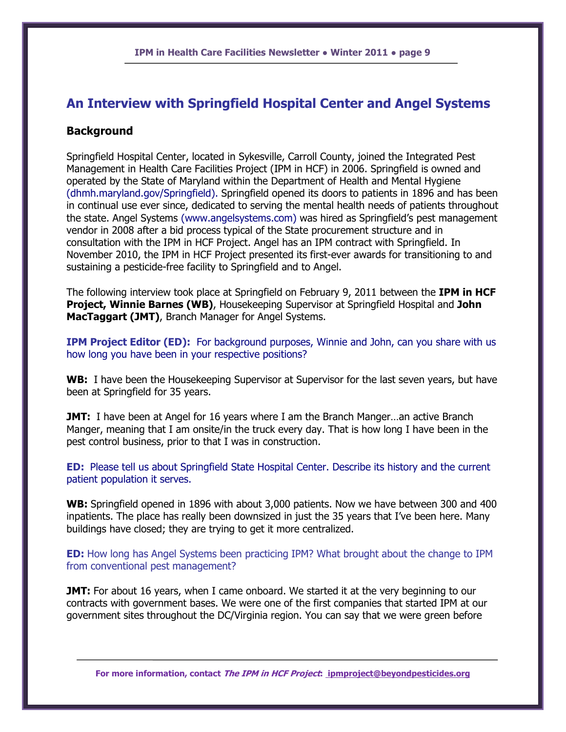# **An Interview with Springfield Hospital Center and Angel Systems**

# **Background**

Springfield Hospital Center, located in Sykesville, Carroll County, joined the Integrated Pest Management in Health Care Facilities Project (IPM in HCF) in 2006. Springfield is owned and operated by the State of Maryland within the Department of Health and Mental Hygiene (dhmh.maryland.gov/Springfield). Springfield opened its doors to patients in 1896 and has been in continual use ever since, dedicated to serving the mental health needs of patients throughout the state. Angel Systems (www.angelsystems.com) was hired as Springfield"s pest management vendor in 2008 after a bid process typical of the State procurement structure and in consultation with the IPM in HCF Project. Angel has an IPM contract with Springfield. In November 2010, the IPM in HCF Project presented its first-ever awards for transitioning to and sustaining a pesticide-free facility to Springfield and to Angel.

The following interview took place at Springfield on February 9, 2011 between the **IPM in HCF Project, Winnie Barnes (WB)**, Housekeeping Supervisor at Springfield Hospital and **John MacTaggart (JMT)**, Branch Manager for Angel Systems.

**IPM Project Editor (ED):** For background purposes, Winnie and John, can you share with us how long you have been in your respective positions?

**WB:** I have been the Housekeeping Supervisor at Supervisor for the last seven years, but have been at Springfield for 35 years.

**JMT:** I have been at Angel for 16 years where I am the Branch Manger...an active Branch Manger, meaning that I am onsite/in the truck every day. That is how long I have been in the pest control business, prior to that I was in construction.

**ED:** Please tell us about Springfield State Hospital Center. Describe its history and the current patient population it serves.

**WB:** Springfield opened in 1896 with about 3,000 patients. Now we have between 300 and 400 inpatients. The place has really been downsized in just the 35 years that I"ve been here. Many buildings have closed; they are trying to get it more centralized.

**ED:** How long has Angel Systems been practicing IPM? What brought about the change to IPM from conventional pest management?

**JMT:** For about 16 years, when I came onboard. We started it at the very beginning to our contracts with government bases. We were one of the first companies that started IPM at our government sites throughout the DC/Virginia region. You can say that we were green before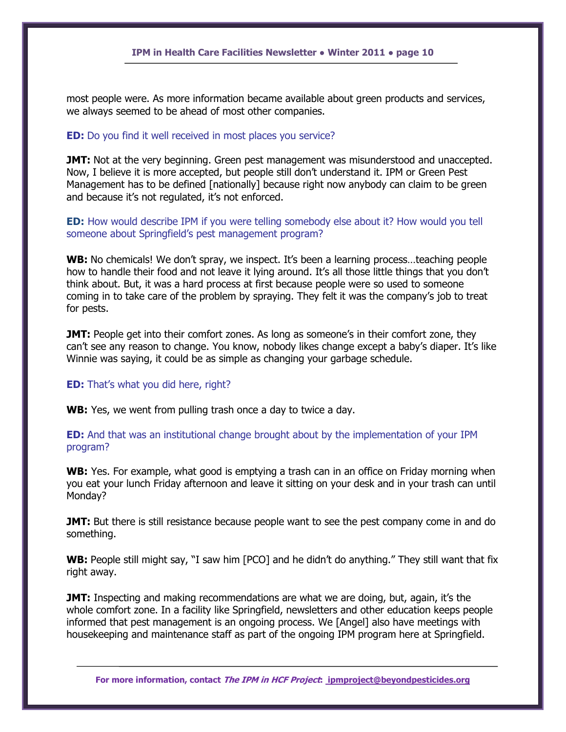most people were. As more information became available about green products and services, we always seemed to be ahead of most other companies.

#### **ED:** Do you find it well received in most places you service?

**JMT:** Not at the very beginning. Green pest management was misunderstood and unaccepted. Now, I believe it is more accepted, but people still don"t understand it. IPM or Green Pest Management has to be defined [nationally] because right now anybody can claim to be green and because it's not regulated, it's not enforced.

**ED:** How would describe IPM if you were telling somebody else about it? How would you tell someone about Springfield"s pest management program?

**WB:** No chemicals! We don't spray, we inspect. It's been a learning process...teaching people how to handle their food and not leave it lying around. It's all those little things that you don't think about. But, it was a hard process at first because people were so used to someone coming in to take care of the problem by spraying. They felt it was the company"s job to treat for pests.

**JMT:** People get into their comfort zones. As long as someone's in their comfort zone, they can't see any reason to change. You know, nobody likes change except a baby's diaper. It's like Winnie was saying, it could be as simple as changing your garbage schedule.

#### **ED:** That's what you did here, right?

**WB:** Yes, we went from pulling trash once a day to twice a day.

# **ED:** And that was an institutional change brought about by the implementation of your IPM program?

**WB:** Yes. For example, what good is emptying a trash can in an office on Friday morning when you eat your lunch Friday afternoon and leave it sitting on your desk and in your trash can until Monday?

**JMT:** But there is still resistance because people want to see the pest company come in and do something.

WB: People still might say, "I saw him [PCO] and he didn't do anything." They still want that fix right away.

**JMT:** Inspecting and making recommendations are what we are doing, but, again, it's the whole comfort zone. In a facility like Springfield, newsletters and other education keeps people informed that pest management is an ongoing process. We [Angel] also have meetings with housekeeping and maintenance staff as part of the ongoing IPM program here at Springfield.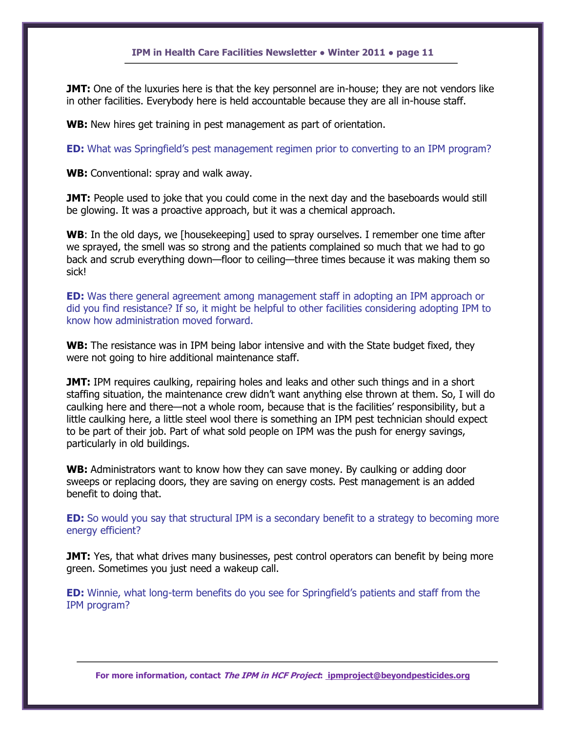**JMT:** One of the luxuries here is that the key personnel are in-house; they are not vendors like in other facilities. Everybody here is held accountable because they are all in-house staff.

WB: New hires get training in pest management as part of orientation.

**ED:** What was Springfield's pest management regimen prior to converting to an IPM program?

**WB:** Conventional: spray and walk away.

**JMT:** People used to joke that you could come in the next day and the baseboards would still be glowing. It was a proactive approach, but it was a chemical approach.

**WB**: In the old days, we [housekeeping] used to spray ourselves. I remember one time after we sprayed, the smell was so strong and the patients complained so much that we had to go back and scrub everything down—floor to ceiling—three times because it was making them so sick!

**ED:** Was there general agreement among management staff in adopting an IPM approach or did you find resistance? If so, it might be helpful to other facilities considering adopting IPM to know how administration moved forward.

WB: The resistance was in IPM being labor intensive and with the State budget fixed, they were not going to hire additional maintenance staff.

**JMT:** IPM requires caulking, repairing holes and leaks and other such things and in a short staffing situation, the maintenance crew didn"t want anything else thrown at them. So, I will do caulking here and there—not a whole room, because that is the facilities" responsibility, but a little caulking here, a little steel wool there is something an IPM pest technician should expect to be part of their job. Part of what sold people on IPM was the push for energy savings, particularly in old buildings.

**WB:** Administrators want to know how they can save money. By caulking or adding door sweeps or replacing doors, they are saving on energy costs. Pest management is an added benefit to doing that.

**ED:** So would you say that structural IPM is a secondary benefit to a strategy to becoming more energy efficient?

**JMT:** Yes, that what drives many businesses, pest control operators can benefit by being more green. Sometimes you just need a wakeup call.

**ED:** Winnie, what long-term benefits do you see for Springfield's patients and staff from the IPM program?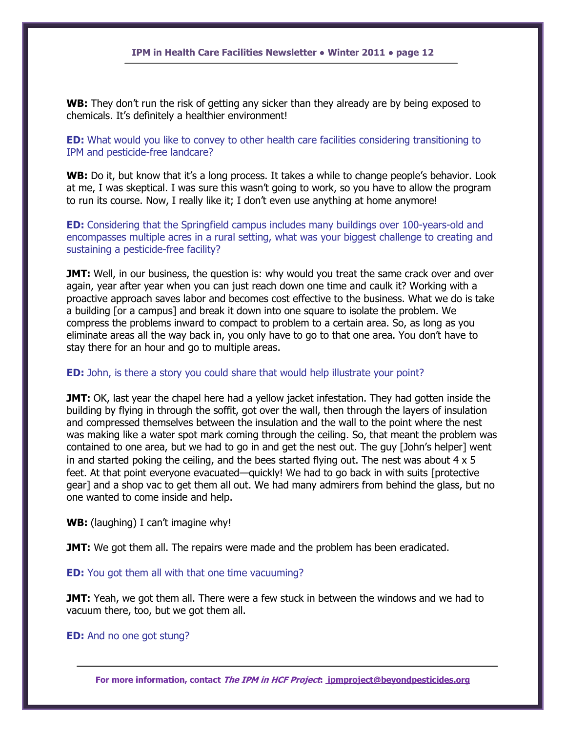**WB:** They don't run the risk of getting any sicker than they already are by being exposed to chemicals. It"s definitely a healthier environment!

**ED:** What would you like to convey to other health care facilities considering transitioning to IPM and pesticide-free landcare?

**WB:** Do it, but know that it's a long process. It takes a while to change people's behavior. Look at me, I was skeptical. I was sure this wasn't going to work, so you have to allow the program to run its course. Now, I really like it; I don't even use anything at home anymore!

**ED:** Considering that the Springfield campus includes many buildings over 100-years-old and encompasses multiple acres in a rural setting, what was your biggest challenge to creating and sustaining a pesticide-free facility?

**JMT:** Well, in our business, the question is: why would you treat the same crack over and over again, year after year when you can just reach down one time and caulk it? Working with a proactive approach saves labor and becomes cost effective to the business. What we do is take a building [or a campus] and break it down into one square to isolate the problem. We compress the problems inward to compact to problem to a certain area. So, as long as you eliminate areas all the way back in, you only have to go to that one area. You don"t have to stay there for an hour and go to multiple areas.

#### **ED:** John, is there a story you could share that would help illustrate your point?

**JMT:** OK, last year the chapel here had a yellow jacket infestation. They had gotten inside the building by flying in through the soffit, got over the wall, then through the layers of insulation and compressed themselves between the insulation and the wall to the point where the nest was making like a water spot mark coming through the ceiling. So, that meant the problem was contained to one area, but we had to go in and get the nest out. The guy [John"s helper] went in and started poking the ceiling, and the bees started flying out. The nest was about  $4 \times 5$ feet. At that point everyone evacuated—quickly! We had to go back in with suits [protective gear] and a shop vac to get them all out. We had many admirers from behind the glass, but no one wanted to come inside and help.

**WB:** (laughing) I can't imagine why!

**JMT:** We got them all. The repairs were made and the problem has been eradicated.

#### **ED:** You got them all with that one time vacuuming?

**JMT:** Yeah, we got them all. There were a few stuck in between the windows and we had to vacuum there, too, but we got them all.

#### **ED:** And no one got stung?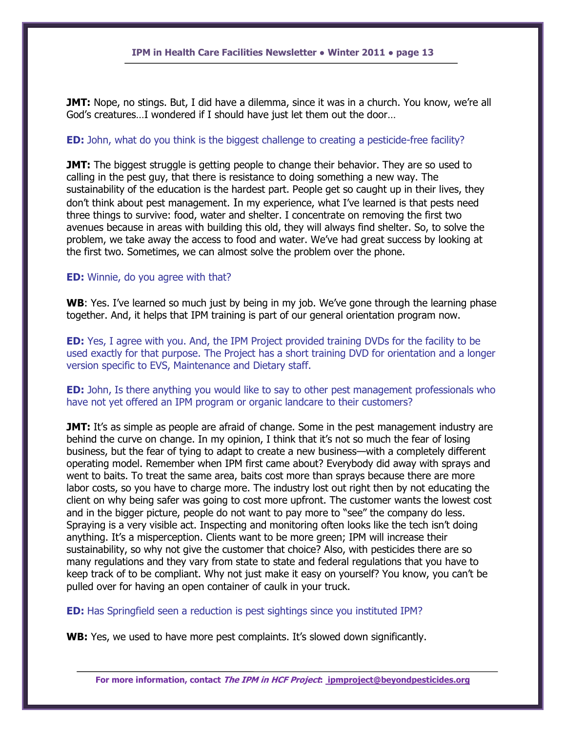**JMT:** Nope, no stings. But, I did have a dilemma, since it was in a church. You know, we're all God"s creatures…I wondered if I should have just let them out the door…

#### **ED:** John, what do you think is the biggest challenge to creating a pesticide-free facility?

**JMT:** The biggest struggle is getting people to change their behavior. They are so used to calling in the pest guy, that there is resistance to doing something a new way. The sustainability of the education is the hardest part. People get so caught up in their lives, they don"t think about pest management. In my experience, what I"ve learned is that pests need three things to survive: food, water and shelter. I concentrate on removing the first two avenues because in areas with building this old, they will always find shelter. So, to solve the problem, we take away the access to food and water. We"ve had great success by looking at the first two. Sometimes, we can almost solve the problem over the phone.

#### **ED:** Winnie, do you agree with that?

**WB**: Yes. I've learned so much just by being in my job. We've gone through the learning phase together. And, it helps that IPM training is part of our general orientation program now.

**ED:** Yes, I agree with you. And, the IPM Project provided training DVDs for the facility to be used exactly for that purpose. The Project has a short training DVD for orientation and a longer version specific to EVS, Maintenance and Dietary staff.

**ED:** John, Is there anything you would like to say to other pest management professionals who have not yet offered an IPM program or organic landcare to their customers?

**JMT:** It's as simple as people are afraid of change. Some in the pest management industry are behind the curve on change. In my opinion, I think that it"s not so much the fear of losing business, but the fear of tying to adapt to create a new business—with a completely different operating model. Remember when IPM first came about? Everybody did away with sprays and went to baits. To treat the same area, baits cost more than sprays because there are more labor costs, so you have to charge more. The industry lost out right then by not educating the client on why being safer was going to cost more upfront. The customer wants the lowest cost and in the bigger picture, people do not want to pay more to "see" the company do less. Spraying is a very visible act. Inspecting and monitoring often looks like the tech isn"t doing anything. It's a misperception. Clients want to be more green; IPM will increase their sustainability, so why not give the customer that choice? Also, with pesticides there are so many regulations and they vary from state to state and federal regulations that you have to keep track of to be compliant. Why not just make it easy on yourself? You know, you can"t be pulled over for having an open container of caulk in your truck.

#### **ED:** Has Springfield seen a reduction is pest sightings since you instituted IPM?

**WB:** Yes, we used to have more pest complaints. It's slowed down significantly.